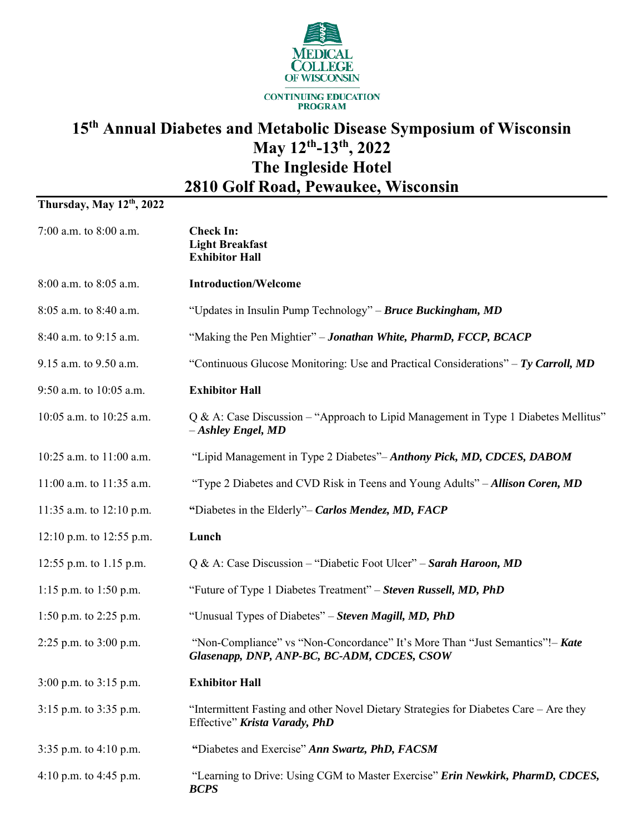

## **15 th Annual Diabetes and Metabolic Disease Symposium of Wisconsin May 12 th -13 th, 2022 The Ingleside Hotel 2810 Golf Road, Pewaukee, Wisconsin**

## **Thursday, May 12 th, 2022**

| 7:00 a.m. to 8:00 a.m.     | <b>Check In:</b><br><b>Light Breakfast</b><br><b>Exhibitor Hall</b>                                                         |
|----------------------------|-----------------------------------------------------------------------------------------------------------------------------|
| 8:00 a.m. to 8:05 a.m.     | <b>Introduction/Welcome</b>                                                                                                 |
| 8:05 a.m. to 8:40 a.m.     | "Updates in Insulin Pump Technology" - Bruce Buckingham, MD                                                                 |
| 8:40 a.m. to 9:15 a.m.     | "Making the Pen Mightier" - Jonathan White, PharmD, FCCP, BCACP                                                             |
| 9.15 a.m. to 9.50 a.m.     | "Continuous Glucose Monitoring: Use and Practical Considerations" $-Ty$ Carroll, MD                                         |
| 9:50 a.m. to 10:05 a.m.    | <b>Exhibitor Hall</b>                                                                                                       |
| 10:05 a.m. to 10:25 a.m.   | Q & A: Case Discussion – "Approach to Lipid Management in Type 1 Diabetes Mellitus"<br>$-Ashley$ Engel, MD                  |
| 10:25 a.m. to 11:00 a.m.   | "Lipid Management in Type 2 Diabetes"-Anthony Pick, MD, CDCES, DABOM                                                        |
| 11:00 a.m. to 11:35 a.m.   | "Type 2 Diabetes and CVD Risk in Teens and Young Adults" – Allison Coren, MD                                                |
| 11:35 a.m. to $12:10$ p.m. | "Diabetes in the Elderly"- Carlos Mendez, MD, FACP                                                                          |
| 12:10 p.m. to 12:55 p.m.   | Lunch                                                                                                                       |
| 12:55 p.m. to 1.15 p.m.    | Q & A: Case Discussion – "Diabetic Foot Ulcer" – Sarah Haroon, MD                                                           |
| 1:15 p.m. to 1:50 p.m.     | "Future of Type 1 Diabetes Treatment" – Steven Russell, MD, PhD                                                             |
| 1:50 p.m. to 2:25 p.m.     | "Unusual Types of Diabetes" – Steven Magill, MD, PhD                                                                        |
| 2:25 p.m. to 3:00 p.m.     | "Non-Compliance" vs "Non-Concordance" It's More Than "Just Semantics"!- Kate<br>Glasenapp, DNP, ANP-BC, BC-ADM, CDCES, CSOW |
| $3:00$ p.m. to $3:15$ p.m. | <b>Exhibitor Hall</b>                                                                                                       |
| 3:15 p.m. to 3:35 p.m.     | "Intermittent Fasting and other Novel Dietary Strategies for Diabetes Care – Are they<br>Effective" Krista Varady, PhD      |
| 3:35 p.m. to 4:10 p.m.     | "Diabetes and Exercise" Ann Swartz, PhD, FACSM                                                                              |
| 4:10 p.m. to 4:45 p.m.     | "Learning to Drive: Using CGM to Master Exercise" Erin Newkirk, PharmD, CDCES,<br><b>BCPS</b>                               |